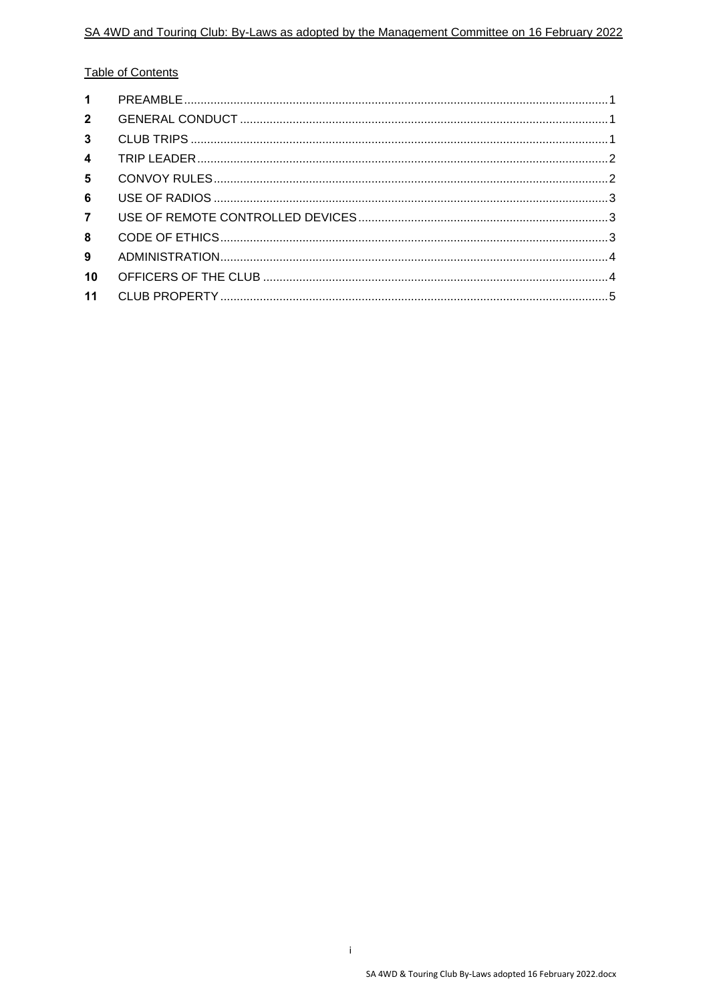### **Table of Contents**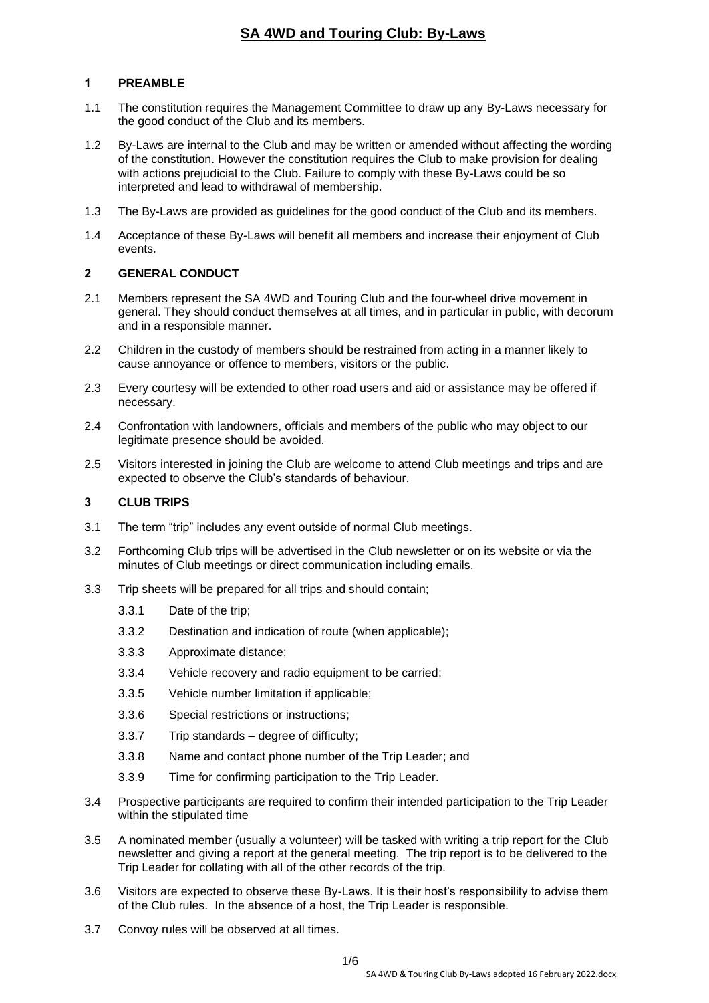### <span id="page-1-0"></span>**1 PREAMBLE**

- 1.1 The constitution requires the Management Committee to draw up any By-Laws necessary for the good conduct of the Club and its members.
- 1.2 By-Laws are internal to the Club and may be written or amended without affecting the wording of the constitution. However the constitution requires the Club to make provision for dealing with actions prejudicial to the Club. Failure to comply with these By-Laws could be so interpreted and lead to withdrawal of membership.
- 1.3 The By-Laws are provided as guidelines for the good conduct of the Club and its members.
- 1.4 Acceptance of these By-Laws will benefit all members and increase their enjoyment of Club events.

### <span id="page-1-1"></span>**2 GENERAL CONDUCT**

- 2.1 Members represent the SA 4WD and Touring Club and the four-wheel drive movement in general. They should conduct themselves at all times, and in particular in public, with decorum and in a responsible manner.
- 2.2 Children in the custody of members should be restrained from acting in a manner likely to cause annoyance or offence to members, visitors or the public.
- 2.3 Every courtesy will be extended to other road users and aid or assistance may be offered if necessary.
- 2.4 Confrontation with landowners, officials and members of the public who may object to our legitimate presence should be avoided.
- 2.5 Visitors interested in joining the Club are welcome to attend Club meetings and trips and are expected to observe the Club's standards of behaviour.

#### <span id="page-1-2"></span>**3 CLUB TRIPS**

- 3.1 The term "trip" includes any event outside of normal Club meetings.
- 3.2 Forthcoming Club trips will be advertised in the Club newsletter or on its website or via the minutes of Club meetings or direct communication including emails.
- 3.3 Trip sheets will be prepared for all trips and should contain;
	- 3.3.1 Date of the trip;
	- 3.3.2 Destination and indication of route (when applicable);
	- 3.3.3 Approximate distance;
	- 3.3.4 Vehicle recovery and radio equipment to be carried;
	- 3.3.5 Vehicle number limitation if applicable;
	- 3.3.6 Special restrictions or instructions;
	- 3.3.7 Trip standards degree of difficulty;
	- 3.3.8 Name and contact phone number of the Trip Leader; and
	- 3.3.9 Time for confirming participation to the Trip Leader.
- 3.4 Prospective participants are required to confirm their intended participation to the Trip Leader within the stipulated time
- 3.5 A nominated member (usually a volunteer) will be tasked with writing a trip report for the Club newsletter and giving a report at the general meeting. The trip report is to be delivered to the Trip Leader for collating with all of the other records of the trip.
- 3.6 Visitors are expected to observe these By-Laws. It is their host's responsibility to advise them of the Club rules. In the absence of a host, the Trip Leader is responsible.
- 3.7 Convoy rules will be observed at all times.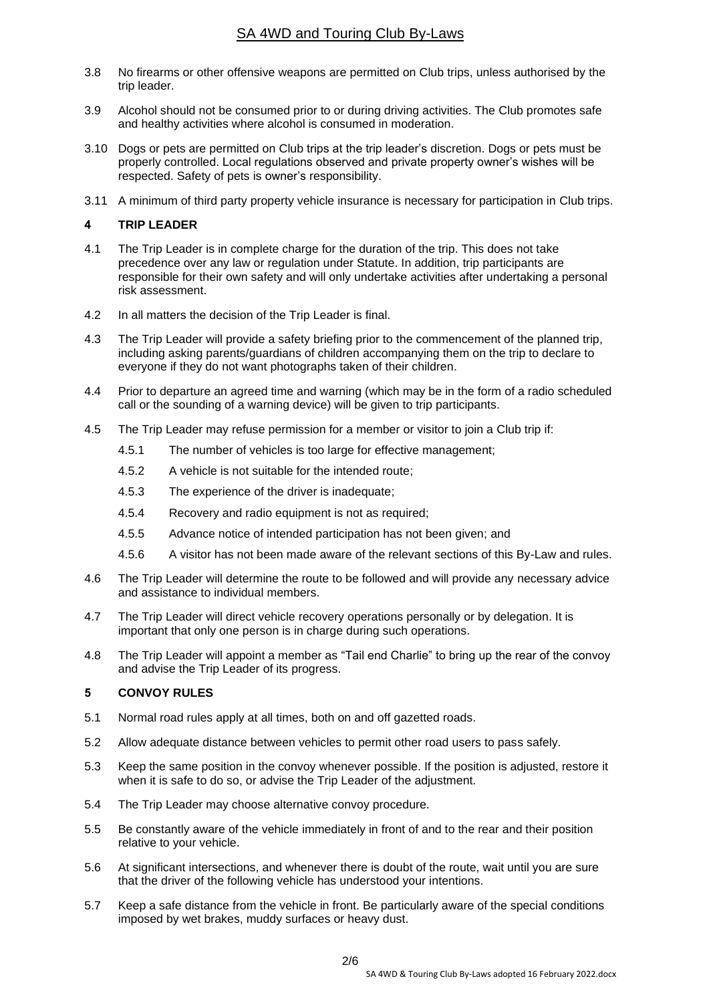- 3.8 No firearms or other offensive weapons are permitted on Club trips, unless authorised by the trip leader.
- 3.9 Alcohol should not be consumed prior to or during driving activities. The Club promotes safe and healthy activities where alcohol is consumed in moderation.
- 3.10 Dogs or pets are permitted on Club trips at the trip leader's discretion. Dogs or pets must be properly controlled. Local regulations observed and private property owner's wishes will be respected. Safety of pets is owner's responsibility.
- 3.11 A minimum of third party property vehicle insurance is necessary for participation in Club trips.

### <span id="page-2-0"></span>**4 TRIP LEADER**

- 4.1 The Trip Leader is in complete charge for the duration of the trip. This does not take precedence over any law or regulation under Statute. In addition, trip participants are responsible for their own safety and will only undertake activities after undertaking a personal risk assessment.
- 4.2 In all matters the decision of the Trip Leader is final.
- 4.3 The Trip Leader will provide a safety briefing prior to the commencement of the planned trip, including asking parents/guardians of children accompanying them on the trip to declare to everyone if they do not want photographs taken of their children.
- 4.4 Prior to departure an agreed time and warning (which may be in the form of a radio scheduled call or the sounding of a warning device) will be given to trip participants.
- 4.5 The Trip Leader may refuse permission for a member or visitor to join a Club trip if:
	- 4.5.1 The number of vehicles is too large for effective management;
	- 4.5.2 A vehicle is not suitable for the intended route;
	- 4.5.3 The experience of the driver is inadequate;
	- 4.5.4 Recovery and radio equipment is not as required;
	- 4.5.5 Advance notice of intended participation has not been given; and
	- 4.5.6 A visitor has not been made aware of the relevant sections of this By-Law and rules.
- 4.6 The Trip Leader will determine the route to be followed and will provide any necessary advice and assistance to individual members.
- 4.7 The Trip Leader will direct vehicle recovery operations personally or by delegation. It is important that only one person is in charge during such operations.
- 4.8 The Trip Leader will appoint a member as "Tail end Charlie" to bring up the rear of the convoy and advise the Trip Leader of its progress.

#### <span id="page-2-1"></span>**5 CONVOY RULES**

- 5.1 Normal road rules apply at all times, both on and off gazetted roads.
- 5.2 Allow adequate distance between vehicles to permit other road users to pass safely.
- 5.3 Keep the same position in the convoy whenever possible. If the position is adjusted, restore it when it is safe to do so, or advise the Trip Leader of the adjustment.
- 5.4 The Trip Leader may choose alternative convoy procedure.
- 5.5 Be constantly aware of the vehicle immediately in front of and to the rear and their position relative to your vehicle.
- 5.6 At significant intersections, and whenever there is doubt of the route, wait until you are sure that the driver of the following vehicle has understood your intentions.
- 5.7 Keep a safe distance from the vehicle in front. Be particularly aware of the special conditions imposed by wet brakes, muddy surfaces or heavy dust.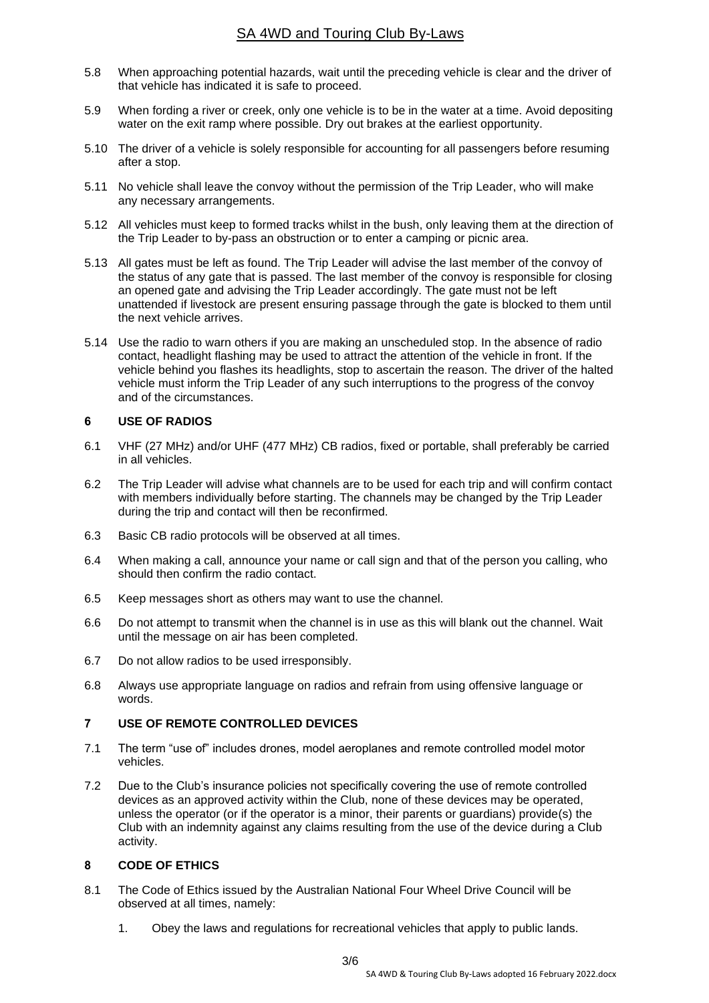- 5.8 When approaching potential hazards, wait until the preceding vehicle is clear and the driver of that vehicle has indicated it is safe to proceed.
- 5.9 When fording a river or creek, only one vehicle is to be in the water at a time. Avoid depositing water on the exit ramp where possible. Dry out brakes at the earliest opportunity.
- 5.10 The driver of a vehicle is solely responsible for accounting for all passengers before resuming after a stop.
- 5.11 No vehicle shall leave the convoy without the permission of the Trip Leader, who will make any necessary arrangements.
- 5.12 All vehicles must keep to formed tracks whilst in the bush, only leaving them at the direction of the Trip Leader to by-pass an obstruction or to enter a camping or picnic area.
- 5.13 All gates must be left as found. The Trip Leader will advise the last member of the convoy of the status of any gate that is passed. The last member of the convoy is responsible for closing an opened gate and advising the Trip Leader accordingly. The gate must not be left unattended if livestock are present ensuring passage through the gate is blocked to them until the next vehicle arrives.
- 5.14 Use the radio to warn others if you are making an unscheduled stop. In the absence of radio contact, headlight flashing may be used to attract the attention of the vehicle in front. If the vehicle behind you flashes its headlights, stop to ascertain the reason. The driver of the halted vehicle must inform the Trip Leader of any such interruptions to the progress of the convoy and of the circumstances.

#### <span id="page-3-0"></span>**6 USE OF RADIOS**

- 6.1 VHF (27 MHz) and/or UHF (477 MHz) CB radios, fixed or portable, shall preferably be carried in all vehicles.
- 6.2 The Trip Leader will advise what channels are to be used for each trip and will confirm contact with members individually before starting. The channels may be changed by the Trip Leader during the trip and contact will then be reconfirmed.
- 6.3 Basic CB radio protocols will be observed at all times.
- 6.4 When making a call, announce your name or call sign and that of the person you calling, who should then confirm the radio contact.
- 6.5 Keep messages short as others may want to use the channel.
- 6.6 Do not attempt to transmit when the channel is in use as this will blank out the channel. Wait until the message on air has been completed.
- 6.7 Do not allow radios to be used irresponsibly.
- 6.8 Always use appropriate language on radios and refrain from using offensive language or words.

#### <span id="page-3-1"></span>**7 USE OF REMOTE CONTROLLED DEVICES**

- 7.1 The term "use of" includes drones, model aeroplanes and remote controlled model motor vehicles.
- 7.2 Due to the Club's insurance policies not specifically covering the use of remote controlled devices as an approved activity within the Club, none of these devices may be operated, unless the operator (or if the operator is a minor, their parents or guardians) provide(s) the Club with an indemnity against any claims resulting from the use of the device during a Club activity.

#### <span id="page-3-2"></span>**8 CODE OF ETHICS**

- 8.1 The Code of Ethics issued by the Australian National Four Wheel Drive Council will be observed at all times, namely:
	- 1. Obey the laws and regulations for recreational vehicles that apply to public lands.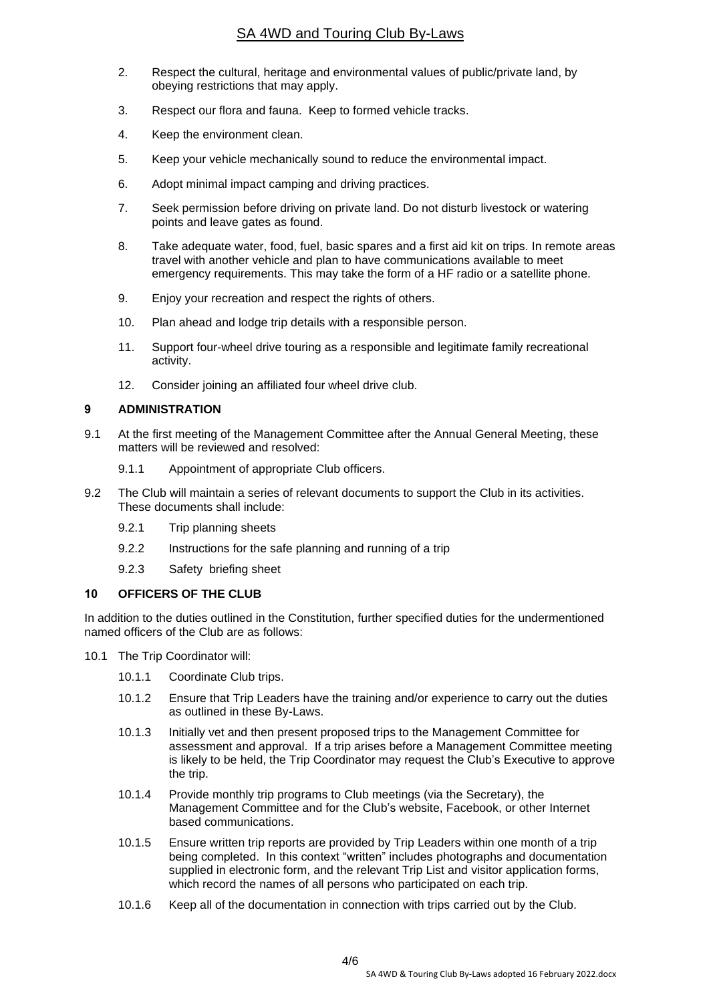- 2. Respect the cultural, heritage and environmental values of public/private land, by obeying restrictions that may apply.
- 3. Respect our flora and fauna. Keep to formed vehicle tracks.
- 4. Keep the environment clean.
- 5. Keep your vehicle mechanically sound to reduce the environmental impact.
- 6. Adopt minimal impact camping and driving practices.
- 7. Seek permission before driving on private land. Do not disturb livestock or watering points and leave gates as found.
- 8. Take adequate water, food, fuel, basic spares and a first aid kit on trips. In remote areas travel with another vehicle and plan to have communications available to meet emergency requirements. This may take the form of a HF radio or a satellite phone.
- 9. Enjoy your recreation and respect the rights of others.
- 10. Plan ahead and lodge trip details with a responsible person.
- 11. Support four-wheel drive touring as a responsible and legitimate family recreational activity.
- 12. Consider joining an affiliated four wheel drive club.

#### <span id="page-4-0"></span>**9 ADMINISTRATION**

- 9.1 At the first meeting of the Management Committee after the Annual General Meeting, these matters will be reviewed and resolved:
	- 9.1.1 Appointment of appropriate Club officers.
- 9.2 The Club will maintain a series of relevant documents to support the Club in its activities. These documents shall include:
	- 9.2.1 Trip planning sheets
	- 9.2.2 Instructions for the safe planning and running of a trip
	- 9.2.3 Safety briefing sheet

#### <span id="page-4-1"></span>**10 OFFICERS OF THE CLUB**

In addition to the duties outlined in the Constitution, further specified duties for the undermentioned named officers of the Club are as follows:

- 10.1 The Trip Coordinator will:
	- 10.1.1 Coordinate Club trips.
	- 10.1.2 Ensure that Trip Leaders have the training and/or experience to carry out the duties as outlined in these By-Laws.
	- 10.1.3 Initially vet and then present proposed trips to the Management Committee for assessment and approval. If a trip arises before a Management Committee meeting is likely to be held, the Trip Coordinator may request the Club's Executive to approve the trip.
	- 10.1.4 Provide monthly trip programs to Club meetings (via the Secretary), the Management Committee and for the Club's website, Facebook, or other Internet based communications.
	- 10.1.5 Ensure written trip reports are provided by Trip Leaders within one month of a trip being completed. In this context "written" includes photographs and documentation supplied in electronic form, and the relevant Trip List and visitor application forms, which record the names of all persons who participated on each trip.
	- 10.1.6 Keep all of the documentation in connection with trips carried out by the Club.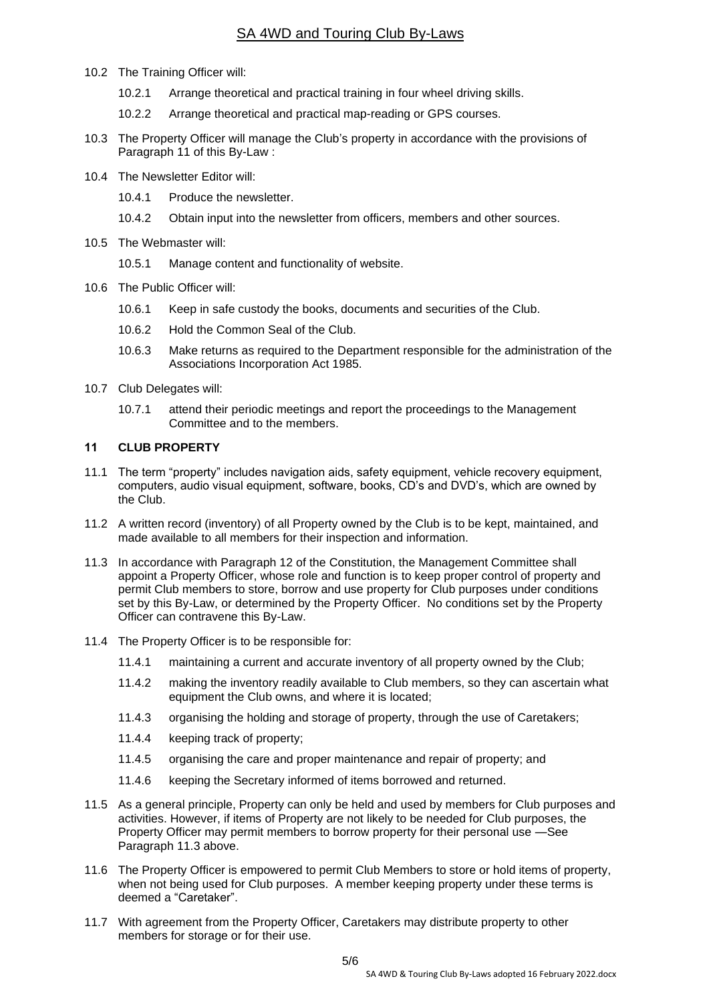- 10.2 The Training Officer will:
	- 10.2.1 Arrange theoretical and practical training in four wheel driving skills.
	- 10.2.2 Arrange theoretical and practical map-reading or GPS courses.
- 10.3 The Property Officer will manage the Club's property in accordance with the provisions of Paragraph 11 of this By-Law :
- 10.4 The Newsletter Editor will:
	- 10.4.1 Produce the newsletter.
	- 10.4.2 Obtain input into the newsletter from officers, members and other sources.
- 10.5 The Webmaster will:
	- 10.5.1 Manage content and functionality of website.
- 10.6 The Public Officer will:
	- 10.6.1 Keep in safe custody the books, documents and securities of the Club.
	- 10.6.2 Hold the Common Seal of the Club.
	- 10.6.3 Make returns as required to the Department responsible for the administration of the Associations Incorporation Act 1985.
- 10.7 Club Delegates will:
	- 10.7.1 attend their periodic meetings and report the proceedings to the Management Committee and to the members.

#### <span id="page-5-0"></span>**11 CLUB PROPERTY**

- 11.1 The term "property" includes navigation aids, safety equipment, vehicle recovery equipment, computers, audio visual equipment, software, books, CD's and DVD's, which are owned by the Club.
- 11.2 A written record (inventory) of all Property owned by the Club is to be kept, maintained, and made available to all members for their inspection and information.
- 11.3 In accordance with Paragraph 12 of the Constitution, the Management Committee shall appoint a Property Officer, whose role and function is to keep proper control of property and permit Club members to store, borrow and use property for Club purposes under conditions set by this By-Law, or determined by the Property Officer. No conditions set by the Property Officer can contravene this By-Law.
- 11.4 The Property Officer is to be responsible for:
	- 11.4.1 maintaining a current and accurate inventory of all property owned by the Club;
	- 11.4.2 making the inventory readily available to Club members, so they can ascertain what equipment the Club owns, and where it is located;
	- 11.4.3 organising the holding and storage of property, through the use of Caretakers;
	- 11.4.4 keeping track of property;
	- 11.4.5 organising the care and proper maintenance and repair of property; and
	- 11.4.6 keeping the Secretary informed of items borrowed and returned.
- 11.5 As a general principle, Property can only be held and used by members for Club purposes and activities. However, if items of Property are not likely to be needed for Club purposes, the Property Officer may permit members to borrow property for their personal use —See Paragraph 11.3 above.
- 11.6 The Property Officer is empowered to permit Club Members to store or hold items of property, when not being used for Club purposes. A member keeping property under these terms is deemed a "Caretaker".
- 11.7 With agreement from the Property Officer, Caretakers may distribute property to other members for storage or for their use.